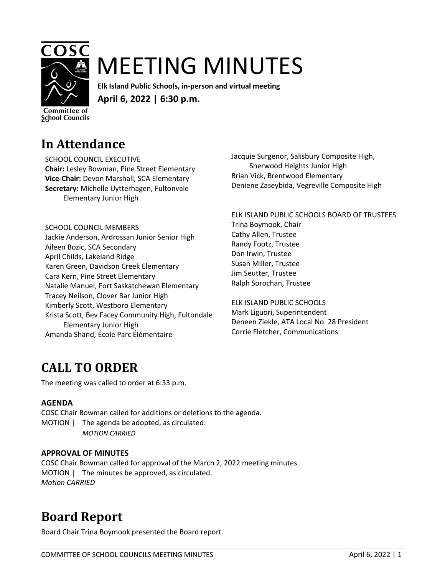

# MEETING MINUTES

**Elk Island Public Schools, in-person and virtual meeting April 6, 2022 | 6:30 p.m.** 

**Committee of School Councils** 

### **In Attendance**

SCHOOL COUNCIL EXECUTIVE **Chair:** Lesley Bowman, Pine Street Elementary **Vice-Chair:** Devon Marshall, SCA Elementary **Secretary:** Michelle Uytterhagen, Fultonvale Elementary Junior High

SCHOOL COUNCIL MEMBERS

Jackie Anderson, Ardrossan Junior Senior High Aileen Bozic, SCA Secondary April Childs, Lakeland Ridge Karen Green, Davidson Creek Elementary Cara Kern, Pine Street Elementary Natalie Manuel, Fort Saskatchewan Elementary Tracey Neilson, Clover Bar Junior High Kimberly Scott, Westboro Elementary Krista Scott, Bev Facey Community High, Fultondale Elementary Junior High Amanda Shand, École Parc Élémentaire

Jacquie Surgenor, Salisbury Composite High, Sherwood Heights Junior High Brian Vick, Brentwood Elementary Deniene Zaseybida, Vegreville Composite High

ELK ISLAND PUBLIC SCHOOLS BOARD OF TRUSTEES Trina Boymook, Chair Cathy Allen, Trustee Randy Footz, Trustee Don Irwin, Trustee Susan Miller, Trustee Jim Seutter, Trustee Ralph Sorochan, Trustee

ELK ISLAND PUBLIC SCHOOLS Mark Liguori, Superintendent Deneen Ziekle, ATA Local No. 28 President Corrie Fletcher, Communications

# **CALL TO ORDER**

The meeting was called to order at 6:33 p.m.

#### **AGENDA**

COSC Chair Bowman called for additions or deletions to the agenda. MOTION | The agenda be adopted, as circulated. *MOTION CARRIED*

#### **APPROVAL OF MINUTES**

COSC Chair Bowman called for approval of the March 2, 2022 meeting minutes. MOTION | The minutes be approved, as circulated. *Motion CARRIED*

### **Board Report**

Board Chair Trina Boymook presented the Board report.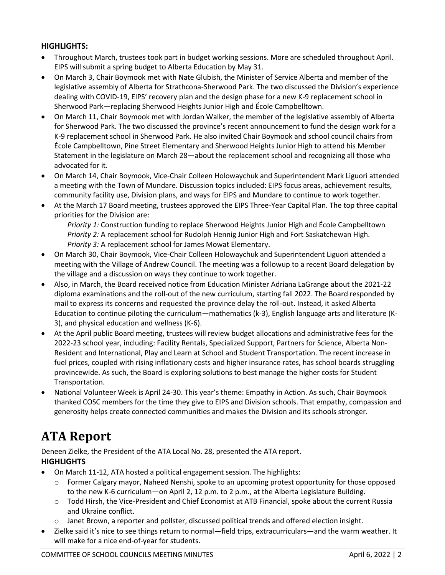#### **HIGHLIGHTS:**

- Throughout March, trustees took part in budget working sessions. More are scheduled throughout April. EIPS will submit a spring budget to Alberta Education by May 31.
- On March 3, Chair Boymook met with Nate Glubish, the Minister of Service Alberta and member of the legislative assembly of Alberta for Strathcona-Sherwood Park. The two discussed the Division's experience dealing with COVID-19, EIPS' recovery plan and the design phase for a new K-9 replacement school in Sherwood Park—replacing Sherwood Heights Junior High and École Campbelltown.
- On March 11, Chair Boymook met with Jordan Walker, the member of the legislative assembly of Alberta for Sherwood Park. The two discussed the province's recent announcement to fund the design work for a K-9 replacement school in Sherwood Park. He also invited Chair Boymook and school council chairs from École Campbelltown, Pine Street Elementary and Sherwood Heights Junior High to attend his Member Statement in the legislature on March 28—about the replacement school and recognizing all those who advocated for it.
- On March 14, Chair Boymook, Vice-Chair Colleen Holowaychuk and Superintendent Mark Liguori attended a meeting with the Town of Mundare. Discussion topics included: EIPS focus areas, achievement results, community facility use, Division plans, and ways for EIPS and Mundare to continue to work together.
- At the March 17 Board meeting, trustees approved the EIPS Three-Year Capital Plan. The top three capital priorities for the Division are:

*Priority 1:* Construction funding to replace Sherwood Heights Junior High and École Campbelltown *Priority 2:* A replacement school for Rudolph Hennig Junior High and Fort Saskatchewan High. *Priority 3:* A replacement school for James Mowat Elementary.

- On March 30, Chair Boymook, Vice-Chair Colleen Holowaychuk and Superintendent Liguori attended a meeting with the Village of Andrew Council. The meeting was a followup to a recent Board delegation by the village and a discussion on ways they continue to work together.
- Also, in March, the Board received notice from Education Minister Adriana LaGrange about the 2021-22 diploma examinations and the roll-out of the new curriculum, starting fall 2022. The Board responded by mail to express its concerns and requested the province delay the roll-out. Instead, it asked Alberta Education to continue piloting the curriculum—mathematics (k-3), English language arts and literature (K-3), and physical education and wellness (K-6).
- At the April public Board meeting, trustees will review budget allocations and administrative fees for the 2022-23 school year, including: Facility Rentals, Specialized Support, Partners for Science, Alberta Non-Resident and International, Play and Learn at School and Student Transportation. The recent increase in fuel prices, coupled with rising inflationary costs and higher insurance rates, has school boards struggling provincewide. As such, the Board is exploring solutions to best manage the higher costs for Student Transportation.
- National Volunteer Week is April 24-30. This year's theme: Empathy in Action. As such, Chair Boymook thanked COSC members for the time they give to EIPS and Division schools. That empathy, compassion and generosity helps create connected communities and makes the Division and its schools stronger.

### **ATA Report**

Deneen Zielke, the President of the ATA Local No. 28, presented the ATA report. **HIGHLIGHTS**

- On March 11-12, ATA hosted a political engagement session. The highlights:
	- o Former Calgary mayor, Naheed Nenshi, spoke to an upcoming protest opportunity for those opposed to the new K-6 curriculum—on April 2, 12 p.m. to 2 p.m., at the Alberta Legislature Building.
	- o Todd Hirsh, the Vice-President and Chief Economist at ATB Financial, spoke about the current Russia and Ukraine conflict.
	- o Janet Brown, a reporter and pollster, discussed political trends and offered election insight.
- Zielke said it's nice to see things return to normal—field trips, extracurriculars—and the warm weather. It will make for a nice end-of-year for students.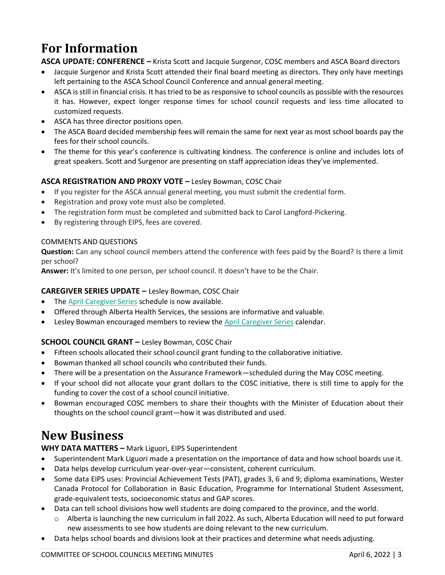# **For Information**

**ASCA UPDATE: CONFERENCE –** Krista Scott and Jacquie Surgenor, COSC members and ASCA Board directors

- Jacquie Surgenor and Krista Scott attended their final board meeting as directors. They only have meetings left pertaining to the ASCA School Council Conference and annual general meeting.
- ASCA is still in financial crisis. It has tried to be as responsive to school councils as possible with the resources it has. However, expect longer response times for school council requests and less time allocated to customized requests.
- ASCA has three director positions open.
- The ASCA Board decided membership fees will remain the same for next year as most school boards pay the fees for their school councils.
- The theme for this year's conference is cultivating kindness. The conference is online and includes lots of great speakers. Scott and Surgenor are presenting on staff appreciation ideas they've implemented.

#### **ASCA REGISTRATION AND PROXY VOTE –** Lesley Bowman, COSC Chair

- If you register for the ASCA annual general meeting, you must submit the credential form.
- Registration and proxy vote must also be completed.
- The registration form must be completed and submitted back to Carol Langford-Pickering.
- By registering through EIPS, fees are covered.

#### COMMENTS AND QUESTIONS

**Question:** Can any school council members attend the conference with fees paid by the Board? Is there a limit per school?

**Answer:** It's limited to one person, per school council. It doesn't have to be the Chair.

#### **CAREGIVER SERIES UPDATE –** Lesley Bowman, COSC Chair

- The **April [Caregiver Series](https://www.cyfcaregivereducation.ca/home)** schedule is now available.
- Offered through Alberta Health Services, the sessions are informative and valuable.
- Lesley Bowman encouraged members to review the April [Caregiver Series](https://www.cyfcaregivereducation.ca/home) calendar.

#### **SCHOOL COUNCIL GRANT –** Lesley Bowman, COSC Chair

- Fifteen schools allocated their school council grant funding to the collaborative initiative.
- Bowman thanked all school councils who contributed their funds.
- There will be a presentation on the Assurance Framework—scheduled during the May COSC meeting.
- If your school did not allocate your grant dollars to the COSC initiative, there is still time to apply for the funding to cover the cost of a school council initiative.
- Bowman encouraged COSC members to share their thoughts with the Minister of Education about their thoughts on the school council grant—how it was distributed and used.

### **New Business**

#### **WHY DATA MATTERS –** Mark Liguori, EIPS Superintendent

- Superintendent Mark Liguori made a presentation on the importance of data and how school boards use it.
- Data helps develop curriculum year-over-year—consistent, coherent curriculum.
- Some data EIPS uses: Provincial Achievement Tests (PAT), grades 3, 6 and 9; diploma examinations, Wester Canada Protocol for Collaboration in Basic Education, Programme for International Student Assessment, grade-equivalent tests, socioeconomic status and GAP scores.
- Data can tell school divisions how well students are doing compared to the province, and the world.
	- o Alberta is launching the new curriculum in fall 2022. As such, Alberta Education will need to put forward new assessments to see how students are doing relevant to the new curriculum.
- Data helps school boards and divisions look at their practices and determine what needs adjusting.